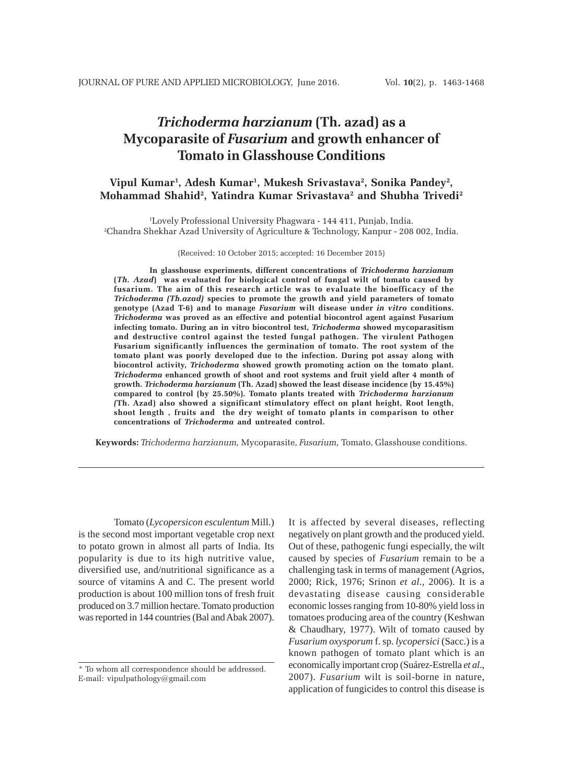# *Trichoderma harzianum* **(Th. azad) as a Mycoparasite of** *Fusarium* **and growth enhancer of Tomato in Glasshouse Conditions**

# Vipul Kumar<sup>1</sup>, Adesh Kumar<sup>1</sup>, Mukesh Srivastava<sup>2</sup>, Sonika Pandey<sup>2</sup>, **Mohammad Shahid2 , Yatindra Kumar Srivastava2 and Shubha Trivedi2**

1 Lovely Professional University Phagwara - 144 411, Punjab, India. 2 Chandra Shekhar Azad University of Agriculture & Technology, Kanpur - 208 002, India.

(Received: 10 October 2015; accepted: 16 December 2015)

**In glasshouse experiments, different concentrations of** *Trichoderma harzianum* **(***Th. Azad***) was evaluated for biological control of fungal wilt of tomato caused by fusarium. The aim of this research article was to evaluate the bioefficacy of the** *Trichoderma (Th.azad)* **species to promote the growth and yield parameters of tomato genotype (Azad T-6) and to manage** *Fusarium* **wilt disease under** *in vitro* **conditions.** *Trichoderma* **was proved as an effective and potential biocontrol agent against Fusarium infecting tomato. During an in vitro biocontrol test,** *Trichoderma* **showed mycoparasitism and destructive control against the tested fungal pathogen. The virulent Pathogen Fusarium significantly influences the germination of tomato. The root system of the tomato plant was poorly developed due to the infection. During pot assay along with biocontrol activity,** *Trichoderma* **showed growth promoting action on the tomato plant.** *Trichoderma* **enhanced growth of shoot and root systems and fruit yield after 4 month of growth.** *Trichoderma harzianum* **(Th. Azad) showed the least disease incidence (by 15.45%) compared to control (by 25.50%). Tomato plants treated with** *Trichoderma harzianum (***Th. Azad) also showed a significant stimulatory effect on plant height, Root length, shoot length , fruits and the dry weight of tomato plants in comparison to other concentrations of** *Trichoderma* **and untreated control.**

**Keywords:** *Trichoderma harzianum,* Mycoparasite, *Fusarium,* Tomato, Glasshouse conditions.

Tomato (*Lycopersicon esculentum* Mill.) is the second most important vegetable crop next to potato grown in almost all parts of India. Its popularity is due to its high nutritive value, diversified use, and/nutritional significance as a source of vitamins A and C. The present world production is about 100 million tons of fresh fruit produced on 3.7 million hectare. Tomato production was reported in 144 countries (Bal and Abak 2007).

It is affected by several diseases, reflecting negatively on plant growth and the produced yield. Out of these, pathogenic fungi especially, the wilt caused by species of *Fusarium* remain to be a challenging task in terms of management (Agrios, 2000; Rick, 1976; Srinon *et al.*, 2006). It is a devastating disease causing considerable economic losses ranging from 10-80% yield loss in tomatoes producing area of the country (Keshwan & Chaudhary, 1977). Wilt of tomato caused by *Fusarium oxysporum* f. sp. *lycopersici* (Sacc.) is a known pathogen of tomato plant which is an economically important crop (Suárez-Estrella *et al*., 2007). *Fusarium* wilt is soil-borne in nature, application of fungicides to control this disease is

<sup>\*</sup> To whom all correspondence should be addressed. E-mail: vipulpathology@gmail.com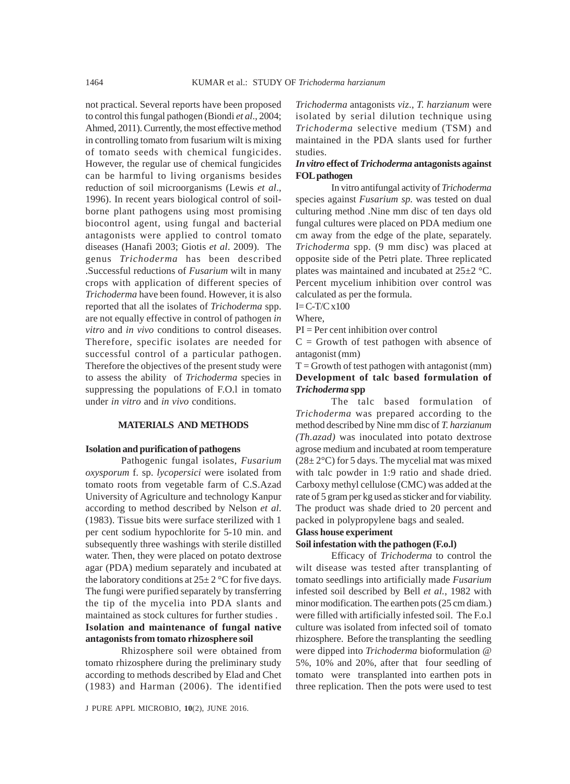not practical. Several reports have been proposed to control this fungal pathogen (Biondi *et al*., 2004; Ahmed, 2011). Currently, the most effective method in controlling tomato from fusarium wilt is mixing of tomato seeds with chemical fungicides. However, the regular use of chemical fungicides can be harmful to living organisms besides reduction of soil microorganisms (Lewis *et al*., 1996). In recent years biological control of soilborne plant pathogens using most promising biocontrol agent, using fungal and bacterial antagonists were applied to control tomato diseases (Hanafi 2003; Giotis *et al*. 2009). The genus *Trichoderma* has been described .Successful reductions of *Fusarium* wilt in many crops with application of different species of *Trichoderma* have been found. However, it is also reported that all the isolates of *Trichoderma* spp. are not equally effective in control of pathogen *in vitro* and *in vivo* conditions to control diseases. Therefore, specific isolates are needed for successful control of a particular pathogen. Therefore the objectives of the present study were to assess the ability of *Trichoderma* species in suppressing the populations of F.O.l in tomato under *in vitro* and *in vivo* conditions.

### **MATERIALS AND METHODS**

#### **Isolation and purification of pathogens**

Pathogenic fungal isolates, *Fusarium oxysporum* f. sp. *lycopersici* were isolated from tomato roots from vegetable farm of C.S.Azad University of Agriculture and technology Kanpur according to method described by Nelson *et al*. (1983). Tissue bits were surface sterilized with 1 per cent sodium hypochlorite for 5-10 min. and subsequently three washings with sterile distilled water. Then, they were placed on potato dextrose agar (PDA) medium separately and incubated at the laboratory conditions at  $25\pm 2$  °C for five days. The fungi were purified separately by transferring the tip of the mycelia into PDA slants and maintained as stock cultures for further studies . **Isolation and maintenance of fungal native antagonists from tomato rhizosphere soil**

Rhizosphere soil were obtained from tomato rhizosphere during the preliminary study according to methods described by Elad and Chet (1983) and Harman (2006). The identified

*Trichoderma* antagonists *viz*., *T. harzianum* were isolated by serial dilution technique using *Trichoderma* selective medium (TSM) and maintained in the PDA slants used for further studies.

#### *In vitro* **effect of** *Trichoderma* **antagonists against FOL pathogen**

In vitro antifungal activity of *Trichoderma* species against *Fusarium sp*. was tested on dual culturing method .Nine mm disc of ten days old fungal cultures were placed on PDA medium one cm away from the edge of the plate, separately. *Trichoderma* spp. (9 mm disc) was placed at opposite side of the Petri plate. Three replicated plates was maintained and incubated at 25±2 °C. Percent mycelium inhibition over control was calculated as per the formula.

 $I=C-T/C x100$ 

Where,

 $PI = Per$  cent inhibition over control

 $C =$  Growth of test pathogen with absence of antagonist (mm)

 $T =$  Growth of test pathogen with antagonist (mm) **Development of talc based formulation of** *Trichoderma* **spp**

The talc based formulation of *Trichoderma* was prepared according to the method described by Nine mm disc of *T. harzianum (Th.azad)* was inoculated into potato dextrose agrose medium and incubated at room temperature  $(28\pm 2\degree C)$  for 5 days. The mycelial mat was mixed with talc powder in 1:9 ratio and shade dried. Carboxy methyl cellulose (CMC) was added at the rate of 5 gram per kg used as sticker and for viability. The product was shade dried to 20 percent and packed in polypropylene bags and sealed.

# **Glass house experiment**

## **Soil infestation with the pathogen (F.o.l)**

Efficacy of *Trichoderma* to control the wilt disease was tested after transplanting of tomato seedlings into artificially made *Fusarium* infested soil described by Bell *et al.*, 1982 with minor modification. The earthen pots (25 cm diam.) were filled with artificially infested soil. The F.o.l culture was isolated from infected soil of tomato rhizosphere. Before the transplanting the seedling were dipped into *Trichoderma* bioformulation @ 5%, 10% and 20%, after that four seedling of tomato were transplanted into earthen pots in three replication. Then the pots were used to test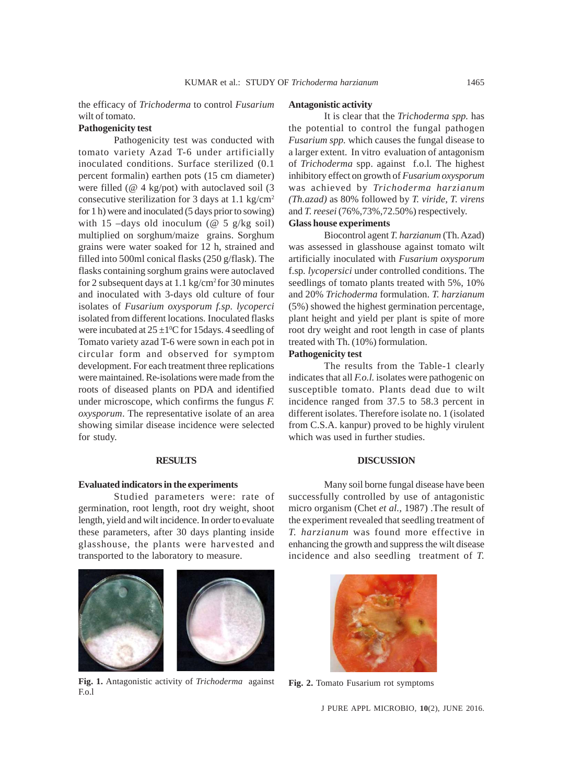the efficacy of *Trichoderma* to control *Fusarium* wilt of tomato.

#### **Pathogenicity test**

Pathogenicity test was conducted with tomato variety Azad T-6 under artificially inoculated conditions. Surface sterilized (0.1 percent formalin) earthen pots (15 cm diameter) were filled ( $@$  4 kg/pot) with autoclaved soil (3) consecutive sterilization for 3 days at 1.1 kg/cm2 for 1 h) were and inoculated (5 days prior to sowing) with 15 –days old inoculum ( $@$  5 g/kg soil) multiplied on sorghum/maize grains. Sorghum grains were water soaked for 12 h, strained and filled into 500ml conical flasks (250 g/flask). The flasks containing sorghum grains were autoclaved for 2 subsequent days at 1.1 kg/cm2 for 30 minutes and inoculated with 3-days old culture of four isolates of *Fusarium oxysporum f.sp. lycoperci* isolated from different locations*.* Inoculated flasks were incubated at  $25 \pm 1$ <sup>o</sup>C for 15 days. 4 seedling of Tomato variety azad T-6 were sown in each pot in circular form and observed for symptom development. For each treatment three replications were maintained. Re-isolations were made from the roots of diseased plants on PDA and identified under microscope, which confirms the fungus *F. oxysporum*. The representative isolate of an area showing similar disease incidence were selected for study.

#### **RESULTS**

#### **Evaluated indicators in the experiments**

Studied parameters were: rate of germination, root length, root dry weight, shoot length, yield and wilt incidence. In order to evaluate these parameters, after 30 days planting inside glasshouse, the plants were harvested and transported to the laboratory to measure.



**Fig. 1.** Antagonistic activity of *Trichoderma* against F.o.l

#### **Antagonistic activity**

It is clear that the *Trichoderma spp.* has the potential to control the fungal pathogen *Fusarium spp.* which causes the fungal disease to a larger extent. In vitro evaluation of antagonism of *Trichoderma* spp. against f.o.l*.* The highest inhibitory effect on growth of *Fusarium oxysporum* was achieved by *Trichoderma harzianum (Th.azad)* as 80% followed by *T. viride*, *T. virens* and *T. reesei* (76%,73%,72.50%) respectively.

## **Glass house experiments**

Biocontrol agent *T. harzianum* (Th. Azad) was assessed in glasshouse against tomato wilt artificially inoculated with *Fusarium oxysporum* f.sp*. lycopersici* under controlled conditions. The seedlings of tomato plants treated with 5%, 10% and 20% *Trichoderma* formulation. *T. harzianum* (5%) showed the highest germination percentage, plant height and yield per plant is spite of more root dry weight and root length in case of plants treated with Th. (10%) formulation.

# **Pathogenicity test**

The results from the Table-1 clearly indicates that all *F.o.l.* isolates were pathogenic on susceptible tomato. Plants dead due to wilt incidence ranged from 37.5 to 58.3 percent in different isolates. Therefore isolate no. 1 (isolated from C.S.A. kanpur) proved to be highly virulent which was used in further studies.

## **DISCUSSION**

Many soil borne fungal disease have been successfully controlled by use of antagonistic micro organism (Chet *et al.,* 1987) .The result of the experiment revealed that seedling treatment of *T. harzianum* was found more effective in enhancing the growth and suppress the wilt disease incidence and also seedling treatment of *T.*



**Fig. 2.** Tomato Fusarium rot symptoms

J PURE APPL MICROBIO*,* **10**(2), JUNE 2016.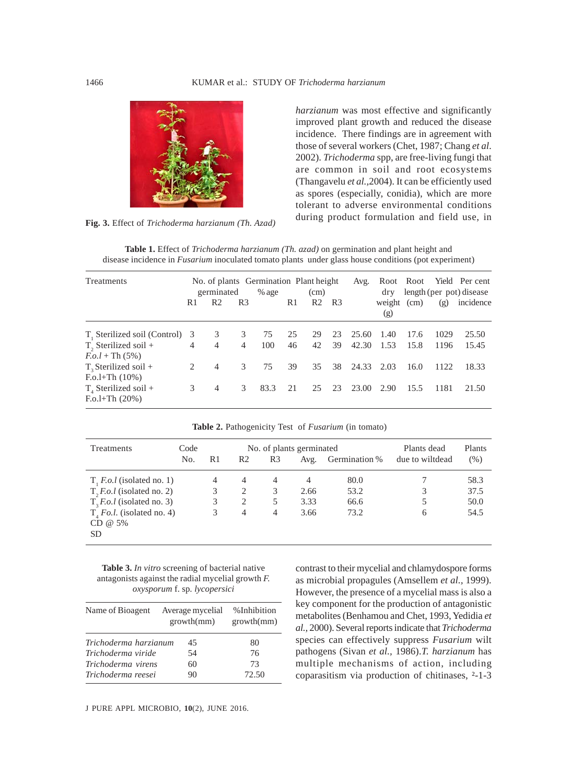

**Fig. 3.** Effect of *Trichoderma harzianum (Th. Azad)*

*harzianum* was most effective and significantly improved plant growth and reduced the disease incidence. There findings are in agreement with those of several workers (Chet, 1987; Chang *et al*. 2002). *Trichoderma* spp, are free-living fungi that are common in soil and root ecosystems (Thangavelu *et al.,*2004). It can be efficiently used as spores (especially, conidia), which are more tolerant to adverse environmental conditions during product formulation and field use, in

**Table 1.** Effect of *Trichoderma harzianum (Th. azad)* on germination and plant height and disease incidence in *Fusarium* inoculated tomato plants under glass house conditions (pot experiment)

| Treatments                                                                              | germinated |                |                | No. of plants Germination Plant height<br>$%$ age<br>(cm) |          |                | Avg.           | dry            | Root Root<br>length (per pot) disease |              | Yield Per cent |                |
|-----------------------------------------------------------------------------------------|------------|----------------|----------------|-----------------------------------------------------------|----------|----------------|----------------|----------------|---------------------------------------|--------------|----------------|----------------|
|                                                                                         | R1         | R <sub>2</sub> | R <sub>3</sub> |                                                           | R1       | R <sub>2</sub> | R <sub>3</sub> |                | weight (cm)<br>(g)                    |              | (g)            | incidence      |
| T <sub>1</sub> Sterilized soil (Control)<br>$T2$ Sterilized soil +<br>$F.o.l + Th (5%)$ | 3<br>4     | 3<br>4         | 3<br>4         | 75<br>100                                                 | 25<br>46 | 29<br>42       | 23<br>39       | 25.60<br>42.30 | 1.40<br>1.53                          | 17.6<br>15.8 | 1029<br>1196   | 25.50<br>15.45 |
| $T_{2}$ Sterilized soil +<br>$F.o.l+Th(10%)$                                            | 2          | 4              | 3              | 75                                                        | 39       | 35             | 38             | 24.33          | 2.03                                  | 16.0         | 1122           | 18.33          |
| $T_{A}$ Sterilized soil +<br>$F. o.l+Th(20%)$                                           | 3          | $\overline{4}$ | 3              | 83.3                                                      | 21       | 25             | 23             | 23.00          | 2.90                                  | 15.5         | 1181           | 21.50          |

| Treatments                                          | Code |    |                |                | No. of plants germinated | Plants dead   | Plants          |         |
|-----------------------------------------------------|------|----|----------------|----------------|--------------------------|---------------|-----------------|---------|
|                                                     | No.  | R1 | R2             | R <sub>3</sub> | Avg.                     | Germination % | due to wiltdead | $(\% )$ |
| $T, F.o. l$ (isolated no. 1)                        |      | 4  | $\overline{4}$ | 4              | 4                        | 80.0          |                 | 58.3    |
| $T$ , <i>F.o.l</i> (isolated no. 2)                 |      | 3  | 2              | 3              | 2.66                     | 53.2          | 3               | 37.5    |
| $T$ <sub>3</sub> <i>F.o.l</i> (isolated no. 3)      |      | 3  | 2              | 5              | 3.33                     | 66.6          | 5               | 50.0    |
| $T_{A}$ Fo.l. (isolated no. 4)<br>$CD @ 5\%$<br>SD. |      | 3  | 4              | 4              | 3.66                     | 73.2          | 6               | 54.5    |

**Table 2.** Pathogenicity Test of *Fusarium* (in tomato)

**Table 3.** *In vitro* screening of bacterial native antagonists against the radial mycelial growth *F. oxysporum* f. sp*. lycopersici*

| Name of Bioagent      | Average mycelial<br>growth(mm) | %Inhibition<br>growth(mm) |  |  |
|-----------------------|--------------------------------|---------------------------|--|--|
| Trichoderma harzianum | 45                             | 80                        |  |  |
| Trichoderma viride    | 54                             | 76                        |  |  |
| Trichoderma virens    | 60                             | 73                        |  |  |
| Trichoderma reesei    | 90                             | 72.50                     |  |  |

J PURE APPL MICROBIO*,* **10**(2), JUNE 2016.

contrast to their mycelial and chlamydospore forms as microbial propagules (Amsellem *et al.,* 1999). However, the presence of a mycelial mass is also a key component for the production of antagonistic metabolites (Benhamou and Chet, 1993, Yedidia *et al.,* 2000). Several reports indicate that *Trichoderma* species can effectively suppress *Fusarium* wilt pathogens (Sivan *et al.,* 1986).*T. harzianum* has multiple mechanisms of action, including coparasitism via production of chitinases, ²-1-3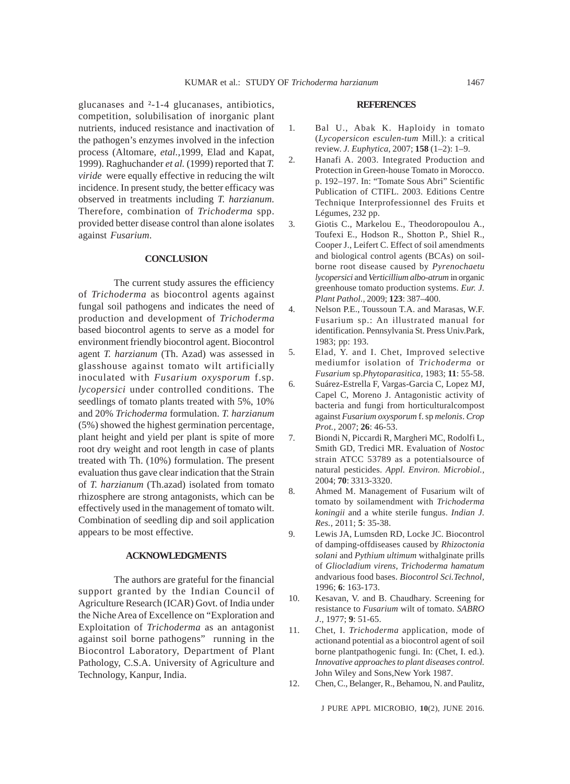glucanases and ²-1-4 glucanases, antibiotics, competition, solubilisation of inorganic plant nutrients, induced resistance and inactivation of the pathogen's enzymes involved in the infection process (Altomare, *etal.,*1999, Elad and Kapat, 1999). Raghuchander *et al.* (1999) reported that *T. viride* were equally effective in reducing the wilt incidence. In present study, the better efficacy was observed in treatments including *T. harzianum*. Therefore, combination of *Trichoderma* spp. provided better disease control than alone isolates against *Fusarium*.

#### **CONCLUSION**

The current study assures the efficiency of *Trichoderma* as biocontrol agents against fungal soil pathogens and indicates the need of production and development of *Trichoderma* based biocontrol agents to serve as a model for environment friendly biocontrol agent. Biocontrol agent *T. harzianum* (Th. Azad) was assessed in glasshouse against tomato wilt artificially inoculated with *Fusarium oxysporum* f.sp*. lycopersici* under controlled conditions. The seedlings of tomato plants treated with 5%, 10% and 20% *Trichoderma* formulation. *T. harzianum* (5%) showed the highest germination percentage, plant height and yield per plant is spite of more root dry weight and root length in case of plants treated with Th. (10%) formulation. The present evaluation thus gave clear indication that the Strain of *T. harzianum* (Th.azad) isolated from tomato rhizosphere are strong antagonists, which can be effectively used in the management of tomato wilt. Combination of seedling dip and soil application appears to be most effective.

## **ACKNOWLEDGMENTS**

The authors are grateful for the financial support granted by the Indian Council of Agriculture Research (ICAR) Govt. of India under the Niche Area of Excellence on "Exploration and Exploitation of *Trichoderma* as an antagonist against soil borne pathogens" running in the Biocontrol Laboratory, Department of Plant Pathology, C.S.A. University of Agriculture and Technology, Kanpur, India.

#### **REFERENCES**

- 1. Bal U., Abak K. Haploidy in tomato (*Lycopersicon esculen-tum* Mill.): a critical review. *J. Euphytica*, 2007; **158** (1–2): 1–9.
- 2. Hanafi A. 2003. Integrated Production and Protection in Green-house Tomato in Morocco. p. 192–197. In: "Tomate Sous Abri" Scientific Publication of CTIFL. 2003. Editions Centre Technique Interprofessionnel des Fruits et Légumes, 232 pp.
- 3. Giotis C., Markelou E., Theodoropoulou A., Toufexi E., Hodson R., Shotton P., Shiel R., Cooper J., Leifert C. Effect of soil amendments and biological control agents (BCAs) on soilborne root disease caused by *Pyrenochaetu lycopersici* and *Verticillium albo-atrum* in organic greenhouse tomato production systems. *Eur. J. Plant Pathol.,* 2009; **123**: 387–400.
- 4. Nelson P.E., Toussoun T.A. and Marasas, W.F. Fusarium sp.: An illustrated manual for identification. Pennsylvania St. Press Univ.Park, 1983; pp: 193.
- 5. Elad, Y. and I. Chet, Improved selective mediumfor isolation of *Trichoderma* or *Fusarium* sp.*Phytoparasitica,* 1983; **11**: 55-58.
- 6. Suárez-Estrella F, Vargas-Garcia C, Lopez MJ, Capel C, Moreno J. Antagonistic activity of bacteria and fungi from horticulturalcompost against *Fusarium oxysporum* f. sp *melonis*. *Crop Prot.,* 2007; **26**: 46-53.
- 7. Biondi N, Piccardi R, Margheri MC, Rodolfi L, Smith GD, Tredici MR. Evaluation of *Nostoc* strain ATCC 53789 as a potentialsource of natural pesticides. *Appl. Environ. Microbiol.,* 2004; **70**: 3313-3320.
- 8. Ahmed M. Management of Fusarium wilt of tomato by soilamendment with *Trichoderma koningii* and a white sterile fungus. *Indian J. Res.,* 2011; **5**: 35-38.
- 9. Lewis JA, Lumsden RD, Locke JC. Biocontrol of damping-offdiseases caused by *Rhizoctonia solani* and *Pythium ultimum* withalginate prills of *Gliocladium virens*, *Trichoderma hamatum* andvarious food bases. *Biocontrol Sci.Technol,* 1996; **6**: 163-173.
- 10. Kesavan, V. and B. Chaudhary. Screening for resistance to *Fusarium* wilt of tomato. *SABRO J*., 1977; **9**: 51-65.
- 11. Chet, I. *Trichoderma* application, mode of actionand potential as a biocontrol agent of soil borne plantpathogenic fungi. In: (Chet, I. ed.). *Innovative approaches to plant diseases control.* John Wiley and Sons,New York 1987.
- 12. Chen, C., Belanger, R., Behamou, N. and Paulitz,

J PURE APPL MICROBIO*,* **10**(2), JUNE 2016.